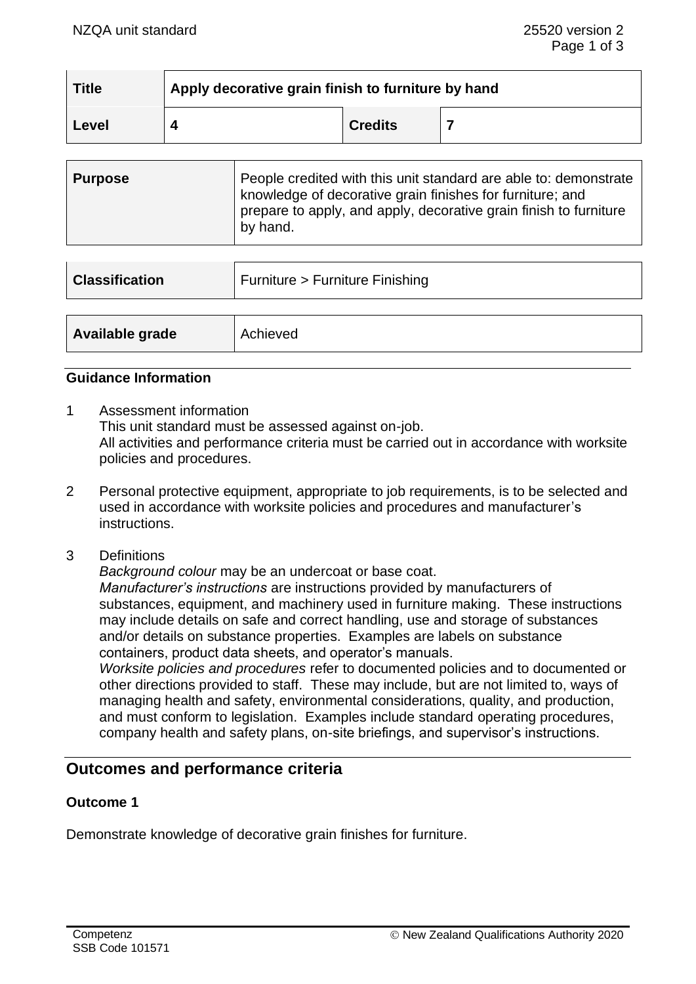| <b>Title</b> | Apply decorative grain finish to furniture by hand |                |  |
|--------------|----------------------------------------------------|----------------|--|
| 'Level       |                                                    | <b>Credits</b> |  |

| <b>Purpose</b> | People credited with this unit standard are able to: demonstrate<br>knowledge of decorative grain finishes for furniture; and<br>prepare to apply, and apply, decorative grain finish to furniture |
|----------------|----------------------------------------------------------------------------------------------------------------------------------------------------------------------------------------------------|
|                | by hand.                                                                                                                                                                                           |

| <b>Classification</b> | Furniture > Furniture Finishing |  |
|-----------------------|---------------------------------|--|
|                       |                                 |  |
| Available grade       | Achieved                        |  |

### **Guidance Information**

- 1 Assessment information This unit standard must be assessed against on-job. All activities and performance criteria must be carried out in accordance with worksite policies and procedures.
- 2 Personal protective equipment, appropriate to job requirements, is to be selected and used in accordance with worksite policies and procedures and manufacturer's instructions.
- 3 Definitions

*Background colour* may be an undercoat or base coat. *Manufacturer's instructions* are instructions provided by manufacturers of substances, equipment, and machinery used in furniture making. These instructions may include details on safe and correct handling, use and storage of substances and/or details on substance properties. Examples are labels on substance containers, product data sheets, and operator's manuals.

*Worksite policies and procedures* refer to documented policies and to documented or other directions provided to staff. These may include, but are not limited to, ways of managing health and safety, environmental considerations, quality, and production, and must conform to legislation. Examples include standard operating procedures, company health and safety plans, on-site briefings, and supervisor's instructions.

# **Outcomes and performance criteria**

### **Outcome 1**

Demonstrate knowledge of decorative grain finishes for furniture.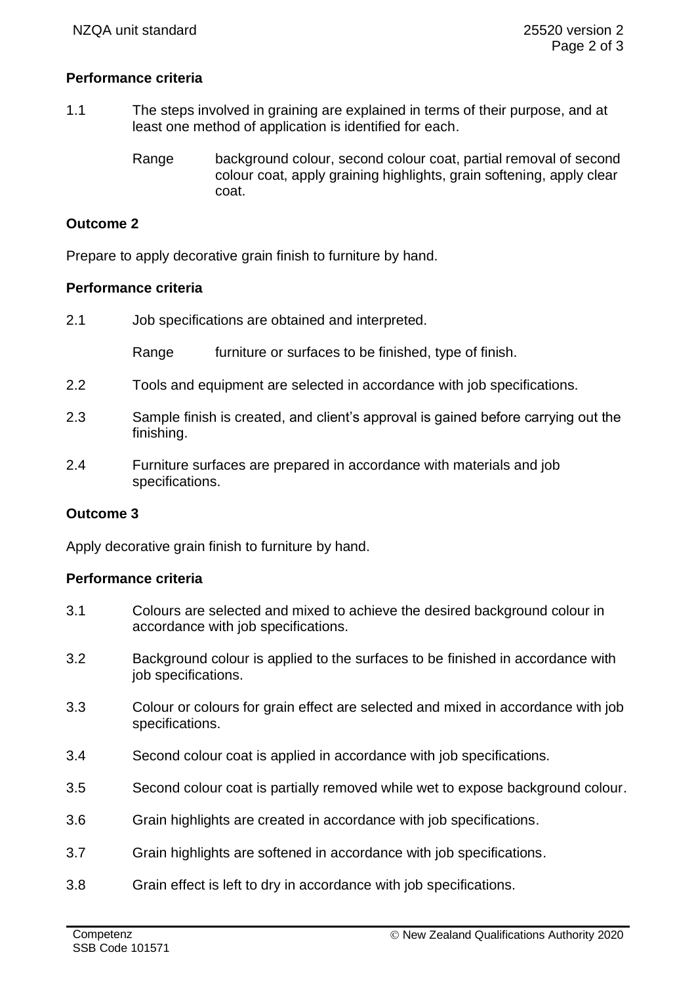# **Performance criteria**

- 1.1 The steps involved in graining are explained in terms of their purpose, and at least one method of application is identified for each.
	- Range background colour, second colour coat, partial removal of second colour coat, apply graining highlights, grain softening, apply clear coat.

# **Outcome 2**

Prepare to apply decorative grain finish to furniture by hand.

### **Performance criteria**

2.1 Job specifications are obtained and interpreted.

Range furniture or surfaces to be finished, type of finish.

- 2.2 Tools and equipment are selected in accordance with job specifications.
- 2.3 Sample finish is created, and client's approval is gained before carrying out the finishing.
- 2.4 Furniture surfaces are prepared in accordance with materials and job specifications.

#### **Outcome 3**

Apply decorative grain finish to furniture by hand.

#### **Performance criteria**

- 3.1 Colours are selected and mixed to achieve the desired background colour in accordance with job specifications.
- 3.2 Background colour is applied to the surfaces to be finished in accordance with job specifications.
- 3.3 Colour or colours for grain effect are selected and mixed in accordance with job specifications.
- 3.4 Second colour coat is applied in accordance with job specifications.
- 3.5 Second colour coat is partially removed while wet to expose background colour.
- 3.6 Grain highlights are created in accordance with job specifications.
- 3.7 Grain highlights are softened in accordance with job specifications.
- 3.8 Grain effect is left to dry in accordance with job specifications.